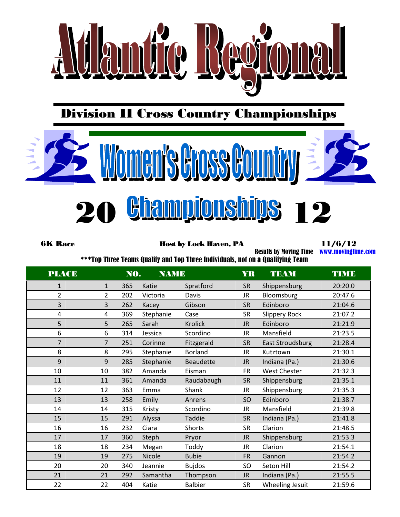

Division II Cross Country Championships



6K Race **Host by Lock Haven, PA** 11/6/12

Results by Moving Time [www.movingtime.com](http://www.movingtime.com/)

\*\*\*Top Three Teams Qualify and Top Three Individuals, not on a Qualifying Team

| <b>PLACE</b>            |                | NO. | <b>NAME</b>   |                  | <b>YR</b> | <b>TEAM</b>          | <b>TIME</b> |
|-------------------------|----------------|-----|---------------|------------------|-----------|----------------------|-------------|
| $\mathbf{1}$            | $\mathbf{1}$   | 365 | Katie         | Spratford        | <b>SR</b> | Shippensburg         | 20:20.0     |
| $\overline{2}$          | $\overline{2}$ | 202 | Victoria      | Davis            | JR.       | Bloomsburg           | 20:47.6     |
| 3                       | 3              | 262 | Kacey         | Gibson           | <b>SR</b> | Edinboro             | 21:04.6     |
| $\overline{\mathbf{4}}$ | 4              | 369 | Stephanie     | Case             | <b>SR</b> | <b>Slippery Rock</b> | 21:07.2     |
| 5                       | 5              | 265 | Sarah         | <b>Krolick</b>   | <b>JR</b> | Edinboro             | 21:21.9     |
| 6                       | 6              | 314 | Jessica       | Scordino         | JR.       | Mansfield            | 21:23.5     |
| $\overline{7}$          | $\overline{7}$ | 251 | Corinne       | Fitzgerald       | <b>SR</b> | East Stroudsburg     | 21:28.4     |
| 8                       | 8              | 295 | Stephanie     | <b>Borland</b>   | JR.       | Kutztown             | 21:30.1     |
| 9                       | 9              | 285 | Stephanie     | <b>Beaudette</b> | <b>JR</b> | Indiana (Pa.)        | 21:30.6     |
| 10                      | 10             | 382 | Amanda        | Eisman           | <b>FR</b> | <b>West Chester</b>  | 21:32.3     |
| 11                      | 11             | 361 | Amanda        | Raudabaugh       | <b>SR</b> | Shippensburg         | 21:35.1     |
| 12                      | 12             | 363 | Emma          | Shank            | JR.       | Shippensburg         | 21:35.3     |
| 13                      | 13             | 258 | Emily         | Ahrens           | <b>SO</b> | Edinboro             | 21:38.7     |
| 14                      | 14             | 315 | Kristy        | Scordino         | JR.       | Mansfield            | 21:39.8     |
| 15                      | 15             | 291 | Alyssa        | Taddie           | <b>SR</b> | Indiana (Pa.)        | 21:41.8     |
| 16                      | 16             | 232 | Ciara         | Shorts           | <b>SR</b> | Clarion              | 21:48.5     |
| 17                      | 17             | 360 | Steph         | Pryor            | <b>JR</b> | Shippensburg         | 21:53.3     |
| 18                      | 18             | 234 | Megan         | Toddy            | JR.       | Clarion              | 21:54.1     |
| 19                      | 19             | 275 | <b>Nicole</b> | <b>Bubie</b>     | <b>FR</b> | Gannon               | 21:54.2     |
| 20                      | 20             | 340 | Jeannie       | <b>Bujdos</b>    | SO        | Seton Hill           | 21:54.2     |
| 21                      | 21             | 292 | Samantha      | Thompson         | <b>JR</b> | Indiana (Pa.)        | 21:55.5     |
| 22                      | 22             | 404 | Katie         | <b>Balbier</b>   | <b>SR</b> | Wheeling Jesuit      | 21:59.6     |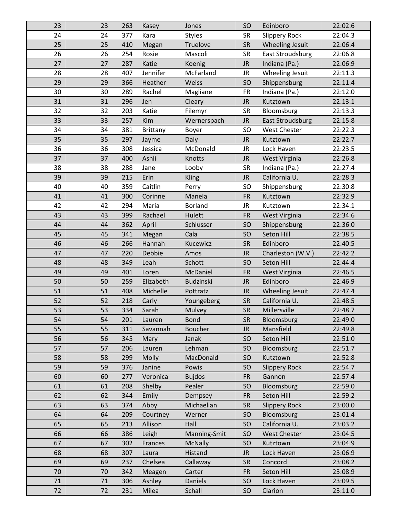| 23 | 23 | 263 | Kasey           | Jones            | SO        | Edinboro                | 22:02.6 |
|----|----|-----|-----------------|------------------|-----------|-------------------------|---------|
| 24 | 24 | 377 | Kara            | <b>Styles</b>    | <b>SR</b> | <b>Slippery Rock</b>    | 22:04.3 |
| 25 | 25 | 410 | Megan           | Truelove         | <b>SR</b> | <b>Wheeling Jesuit</b>  | 22:06.4 |
| 26 | 26 | 254 | Rosie           | Mascoli          | <b>SR</b> | <b>East Stroudsburg</b> | 22:06.8 |
| 27 | 27 | 287 | Katie           | Koenig           | <b>JR</b> | Indiana (Pa.)           | 22:06.9 |
| 28 | 28 | 407 | Jennifer        | McFarland        | JR        | Wheeling Jesuit         | 22:11.3 |
| 29 | 29 | 366 | Heather         | Weiss            | SO        | Shippensburg            | 22:11.4 |
| 30 | 30 | 289 | Rachel          | Magliane         | <b>FR</b> | Indiana (Pa.)           | 22:12.0 |
| 31 | 31 | 296 | Jen             | Cleary           | <b>JR</b> | Kutztown                | 22:13.1 |
| 32 | 32 | 203 | Katie           | Filemyr          | <b>SR</b> | Bloomsburg              | 22:13.3 |
| 33 | 33 | 257 | <b>Kim</b>      | Wernerspach      | <b>JR</b> | <b>East Stroudsburg</b> | 22:15.8 |
| 34 | 34 | 381 | <b>Brittany</b> | Boyer            | SO        | West Chester            | 22:22.3 |
| 35 | 35 | 297 | Jayme           | Daly             | <b>JR</b> | Kutztown                | 22:22.7 |
| 36 | 36 | 308 | Jessica         | McDonald         | <b>JR</b> | Lock Haven              | 22:23.5 |
| 37 | 37 | 400 | Ashli           | Knotts           | <b>JR</b> | West Virginia           | 22:26.8 |
| 38 | 38 | 288 | Jane            | Looby            | <b>SR</b> | Indiana (Pa.)           | 22:27.4 |
| 39 | 39 | 215 | Erin            | <b>Kling</b>     | <b>JR</b> | California U.           | 22:28.3 |
| 40 | 40 | 359 | Caitlin         | Perry            | SO        | Shippensburg            | 22:30.8 |
| 41 | 41 | 300 | Corinne         | Manela           | <b>FR</b> | Kutztown                | 22:32.9 |
| 42 | 42 | 294 | Maria           | <b>Borland</b>   | <b>JR</b> | Kutztown                | 22:34.1 |
| 43 | 43 | 399 | Rachael         | Hulett           | <b>FR</b> | West Virginia           | 22:34.6 |
| 44 | 44 | 362 | April           | Schlusser        | SO        | Shippensburg            | 22:36.0 |
| 45 | 45 | 341 | Megan           | Cala             | SO        | Seton Hill              | 22:38.5 |
| 46 | 46 | 266 | Hannah          | Kucewicz         | <b>SR</b> | Edinboro                | 22:40.5 |
| 47 | 47 | 220 | Debbie          | Amos             | <b>JR</b> | Charleston (W.V.)       | 22:42.2 |
| 48 | 48 | 349 | Leah            | Schott           | SO        | Seton Hill              | 22:44.4 |
| 49 | 49 | 401 | Loren           | McDaniel         | <b>FR</b> | West Virginia           | 22:46.5 |
| 50 | 50 | 259 | Elizabeth       | <b>Budzinski</b> | <b>JR</b> | Edinboro                | 22:46.9 |
| 51 | 51 | 408 | Michelle        | Pottratz         | <b>JR</b> | Wheeling Jesuit         | 22:47.4 |
| 52 | 52 | 218 | Carly           | Youngeberg       | <b>SR</b> | California U.           | 22:48.5 |
| 53 | 53 | 334 | Sarah           | Mulvey           | <b>SR</b> | Millersville            | 22:48.7 |
| 54 | 54 | 201 | Lauren          | <b>Bond</b>      | <b>SR</b> | Bloomsburg              | 22:49.0 |
| 55 | 55 | 311 | Savannah        | <b>Boucher</b>   | <b>JR</b> | Mansfield               | 22:49.8 |
| 56 | 56 | 345 | Mary            | Janak            | SO        | Seton Hill              | 22:51.0 |
| 57 | 57 | 206 | Lauren          | Lehman           | SO        | Bloomsburg              | 22:51.7 |
| 58 | 58 | 299 | Molly           | MacDonald        | SO        | Kutztown                | 22:52.8 |
| 59 | 59 | 376 | Janine          | Powis            | <b>SO</b> | <b>Slippery Rock</b>    | 22:54.7 |
| 60 | 60 | 277 | Veronica        | <b>Bujdos</b>    | <b>FR</b> | Gannon                  | 22:57.4 |
| 61 | 61 | 208 | Shelby          | Pealer           | SO        | Bloomsburg              | 22:59.0 |
| 62 | 62 | 344 | Emily           | Dempsey          | <b>FR</b> | Seton Hill              | 22:59.2 |
| 63 | 63 | 374 | Abby            | Michaelian       | <b>SR</b> | <b>Slippery Rock</b>    | 23:00.0 |
| 64 | 64 | 209 | Courtney        | Werner           | SO        | Bloomsburg              | 23:01.4 |
| 65 | 65 | 213 | Allison         | Hall             | SO        | California U.           | 23:03.2 |
| 66 | 66 | 386 | Leigh           | Manning-Smit     | SO        | <b>West Chester</b>     | 23:04.5 |
| 67 | 67 | 302 | Frances         | <b>McNally</b>   | SO        | Kutztown                | 23:04.9 |
| 68 | 68 | 307 | Laura           | Histand          | <b>JR</b> | Lock Haven              | 23:06.9 |
| 69 | 69 | 237 | Chelsea         | Callaway         | SR        | Concord                 | 23:08.2 |
| 70 | 70 | 342 | Meagen          | Carter           | <b>FR</b> | Seton Hill              | 23:08.9 |
| 71 |    |     |                 | <b>Daniels</b>   |           | Lock Haven              |         |
|    | 71 | 306 | Ashley          |                  | SO        |                         | 23:09.5 |
| 72 | 72 | 231 | Milea           | Schall           | SO        | Clarion                 | 23:11.0 |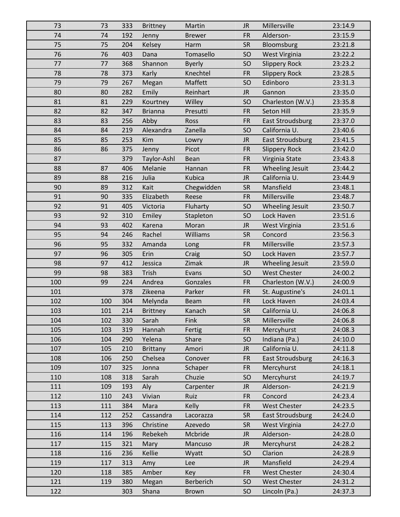| 73  | 73  | 333 | <b>Brittney</b> | Martin        | <b>JR</b>     | Millersville            | 23:14.9 |
|-----|-----|-----|-----------------|---------------|---------------|-------------------------|---------|
| 74  | 74  | 192 | Jenny           | <b>Brewer</b> | <b>FR</b>     | Alderson-               | 23:15.9 |
| 75  | 75  | 204 | Kelsey          | Harm          | <b>SR</b>     | Bloomsburg              | 23:21.8 |
| 76  | 76  | 403 | Dana            | Tomasello     | <b>SO</b>     | West Virginia           | 23:22.2 |
| 77  | 77  | 368 | Shannon         | <b>Byerly</b> | <b>SO</b>     | <b>Slippery Rock</b>    | 23:23.2 |
| 78  | 78  | 373 | Karly           | Knechtel      | <b>FR</b>     | <b>Slippery Rock</b>    | 23:28.5 |
| 79  | 79  | 267 | Megan           | Maffett       | SO            | Edinboro                | 23:31.3 |
| 80  | 80  | 282 | Emily           | Reinhart      | <b>JR</b>     | Gannon                  | 23:35.0 |
| 81  | 81  | 229 | Kourtney        | Willey        | SO            | Charleston (W.V.)       | 23:35.8 |
| 82  | 82  | 347 | <b>Brianna</b>  | Presutti      | <b>FR</b>     | Seton Hill              | 23:35.9 |
| 83  | 83  | 256 | Abby            | Ross          | <b>FR</b>     | <b>East Stroudsburg</b> | 23:37.0 |
| 84  | 84  | 219 | Alexandra       | Zanella       | <b>SO</b>     | California U.           | 23:40.6 |
| 85  | 85  | 253 | Kim             | Lowry         | <b>JR</b>     | <b>East Stroudsburg</b> | 23:41.5 |
| 86  | 86  | 375 | Jenny           | Picot         | <b>FR</b>     | <b>Slippery Rock</b>    | 23:42.0 |
| 87  |     | 379 | Taylor-Ashl     | Bean          | <b>FR</b>     | Virginia State          | 23:43.8 |
| 88  | 87  | 406 | Melanie         | Hannan        | <b>FR</b>     | <b>Wheeling Jesuit</b>  | 23:44.2 |
| 89  | 88  | 216 | Julia           | <b>Kubica</b> | $\mathsf{JR}$ | California U.           | 23:44.9 |
| 90  | 89  | 312 | Kait            | Chegwidden    | <b>SR</b>     | Mansfield               | 23:48.1 |
| 91  | 90  | 335 | Elizabeth       | Reese         | <b>FR</b>     | Millersville            | 23:48.7 |
| 92  | 91  | 405 | Victoria        | Fluharty      | <b>SO</b>     | Wheeling Jesuit         | 23:50.7 |
| 93  | 92  | 310 | Emiley          | Stapleton     | <b>SO</b>     | Lock Haven              | 23:51.6 |
| 94  | 93  | 402 | Karena          | Moran         | $\mathsf{JR}$ | West Virginia           | 23:51.6 |
| 95  | 94  | 246 | Rachel          | Williams      | <b>SR</b>     | Concord                 | 23:56.3 |
| 96  | 95  | 332 | Amanda          | Long          | <b>FR</b>     | Millersville            | 23:57.3 |
| 97  | 96  | 305 | Erin            | Craig         | SO            | Lock Haven              | 23:57.7 |
| 98  | 97  | 412 | Jessica         | Zimak         | <b>JR</b>     | Wheeling Jesuit         | 23:59.0 |
| 99  | 98  | 383 | Trish           | Evans         | <b>SO</b>     | <b>West Chester</b>     | 24:00.2 |
| 100 | 99  | 224 | Andrea          | Gonzales      | <b>FR</b>     | Charleston (W.V.)       | 24:00.9 |
| 101 |     | 378 | Zikeena         | Parker        | <b>FR</b>     | St. Augustine's         | 24:01.1 |
| 102 | 100 | 304 | Melynda         | <b>Beam</b>   | <b>FR</b>     | Lock Haven              | 24:03.4 |
| 103 | 101 | 214 | <b>Brittney</b> | Kanach        | <b>SR</b>     | California U.           | 24:06.8 |
| 104 | 102 | 330 | Sarah           | Fink          | <b>SR</b>     | Millersville            | 24:06.8 |
| 105 | 103 | 319 | Hannah          | Fertig        | <b>FR</b>     | Mercyhurst              | 24:08.3 |
| 106 | 104 | 290 | Yelena          | Share         | <b>SO</b>     | Indiana (Pa.)           | 24:10.0 |
| 107 | 105 | 210 | <b>Brittany</b> | Amori         | <b>JR</b>     | California U.           | 24:11.8 |
| 108 | 106 | 250 | Chelsea         | Conover       | <b>FR</b>     | <b>East Stroudsburg</b> | 24:16.3 |
| 109 | 107 | 325 | Jonna           | Schaper       | <b>FR</b>     | Mercyhurst              | 24:18.1 |
| 110 | 108 | 318 | Sarah           | Chuzie        | <b>SO</b>     | Mercyhurst              | 24:19.7 |
| 111 | 109 | 193 | Aly             | Carpenter     | <b>JR</b>     | Alderson-               | 24:21.9 |
| 112 | 110 | 243 | Vivian          | Ruiz          | <b>FR</b>     | Concord                 | 24:23.4 |
| 113 | 111 | 384 | Mara            | <b>Kelly</b>  | <b>FR</b>     | West Chester            | 24:23.5 |
| 114 | 112 | 252 | Cassandra       | Lacorazza     | <b>SR</b>     | <b>East Stroudsburg</b> | 24:24.0 |
| 115 | 113 | 396 | Christine       | Azevedo       | <b>SR</b>     | West Virginia           | 24:27.0 |
| 116 | 114 | 196 | Rebekeh         | Mcbride       | <b>JR</b>     | Alderson-               | 24:28.0 |
| 117 | 115 | 321 | Mary            | Mancuso       | <b>JR</b>     | Mercyhurst              | 24:28.2 |
| 118 | 116 | 236 | Kellie          | Wyatt         | SO            | Clarion                 | 24:28.9 |
| 119 | 117 | 313 | Amy             | Lee           | <b>JR</b>     | Mansfield               | 24:29.4 |
| 120 | 118 | 385 | Amber           | Key           | <b>FR</b>     | <b>West Chester</b>     | 24:30.4 |
| 121 | 119 | 380 | Megan           | Berberich     | SO            | <b>West Chester</b>     | 24:31.2 |
| 122 |     | 303 | Shana           | <b>Brown</b>  | SO            | Lincoln (Pa.)           | 24:37.3 |
|     |     |     |                 |               |               |                         |         |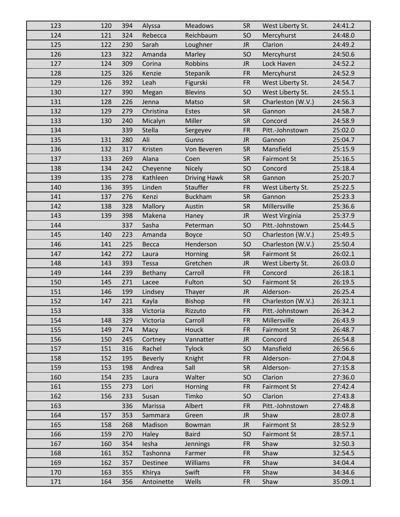| 123 | 120 | 394 | Alyssa         | <b>Meadows</b>      | <b>SR</b> | West Liberty St.   | 24:41.2 |
|-----|-----|-----|----------------|---------------------|-----------|--------------------|---------|
| 124 | 121 | 324 | Rebecca        | Reichbaum           | SO        | Mercyhurst         | 24:48.0 |
| 125 | 122 | 230 | Sarah          | Loughner            | <b>JR</b> | Clarion            | 24:49.2 |
| 126 | 123 | 322 | Amanda         | Marley              | SO        | Mercyhurst         | 24:50.6 |
| 127 | 124 | 309 | Corina         | <b>Robbins</b>      | <b>JR</b> | Lock Haven         | 24:52.2 |
| 128 | 125 | 326 | Kenzie         | Stepanik            | <b>FR</b> | Mercyhurst         | 24:52.9 |
| 129 | 126 | 392 | Leah           | Figurski            | <b>FR</b> | West Liberty St.   | 24:54.7 |
| 130 | 127 | 390 | Megan          | <b>Blevins</b>      | SO        | West Liberty St.   | 24:55.1 |
| 131 | 128 | 226 | Jenna          | Matso               | <b>SR</b> | Charleston (W.V.)  | 24:56.3 |
| 132 | 129 | 279 | Christina      | Estes               | <b>SR</b> | Gannon             | 24:58.7 |
| 133 | 130 | 240 | Micalyn        | Miller              | <b>SR</b> | Concord            | 24:58.9 |
| 134 |     | 339 | Stella         | Sergeyev            | <b>FR</b> | Pitt.-Johnstown    | 25:02.0 |
| 135 | 131 | 280 | Ali            | Gunns               | <b>JR</b> | Gannon             | 25:04.7 |
| 136 | 132 | 317 | Kristen        | Von Beveren         | <b>SR</b> | Mansfield          | 25:15.9 |
| 137 | 133 | 269 | Alana          | Coen                | <b>SR</b> | <b>Fairmont St</b> | 25:16.5 |
| 138 | 134 | 242 | Cheyenne       | <b>Nicely</b>       | SO        | Concord            | 25:18.4 |
| 139 | 135 | 278 | Kathleen       | <b>Driving Hawk</b> | <b>SR</b> | Gannon             | 25:20.7 |
| 140 | 136 | 395 | Linden         | Stauffer            | <b>FR</b> | West Liberty St.   | 25:22.5 |
| 141 | 137 | 276 | Kenzi          | <b>Buckham</b>      | <b>SR</b> | Gannon             | 25:23.3 |
| 142 | 138 | 328 | Mallory        | Austin              | <b>SR</b> | Millersville       | 25:36.6 |
| 143 | 139 | 398 | Makena         | Haney               | <b>JR</b> | West Virginia      | 25:37.9 |
| 144 |     | 337 | Sasha          | Peterman            | SO        | Pitt.-Johnstown    | 25:44.5 |
| 145 | 140 | 223 | Amanda         | Boyce               | SO        | Charleston (W.V.)  | 25:49.5 |
| 146 | 141 | 225 | Becca          | Henderson           | SO        | Charleston (W.V.)  | 25:50.4 |
| 147 | 142 | 272 | Laura          | Horning             | <b>SR</b> | <b>Fairmont St</b> | 26:02.1 |
| 148 | 143 | 393 | Tessa          | Gretchen            | <b>JR</b> | West Liberty St.   | 26:03.0 |
| 149 | 144 | 239 | <b>Bethany</b> | Carroll             | <b>FR</b> | Concord            | 26:18.1 |
| 150 | 145 | 271 | Lacee          | Fulton              | SO        | <b>Fairmont St</b> | 26:19.5 |
| 151 | 146 | 199 | Lindsey        | Thayer              | <b>JR</b> | Alderson-          | 26:25.4 |
| 152 | 147 | 221 | Kayla          | <b>Bishop</b>       | <b>FR</b> | Charleston (W.V.)  | 26:32.1 |
| 153 |     | 338 | Victoria       | Rizzuto             | <b>FR</b> | Pitt.-Johnstown    | 26:34.2 |
| 154 | 148 | 329 | Victoria       | Carroll             | <b>FR</b> | Millersville       | 26:43.9 |
| 155 | 149 | 274 | Macy           | Houck               | <b>FR</b> | <b>Fairmont St</b> | 26:48.7 |
| 156 | 150 | 245 | Cortney        | Vannatter           | <b>JR</b> | Concord            | 26:54.8 |
| 157 | 151 | 316 | Rachel         | <b>Tylock</b>       | <b>SO</b> | Mansfield          | 26:56.6 |
| 158 | 152 | 195 | <b>Beverly</b> | Knight              | <b>FR</b> | Alderson-          | 27:04.8 |
| 159 | 153 | 198 | Andrea         | Sall                | <b>SR</b> | Alderson-          | 27:15.8 |
| 160 | 154 | 235 | Laura          | Walter              | SO        | Clarion            | 27:36.0 |
| 161 | 155 | 273 | Lori           | Horning             | <b>FR</b> | <b>Fairmont St</b> | 27:42.4 |
| 162 | 156 | 233 | Susan          | Timko               | SO        | Clarion            | 27:43.8 |
| 163 |     | 336 | Marissa        | Albert              | <b>FR</b> | Pitt.-Johnstown    | 27:48.8 |
| 164 | 157 | 353 | Sammara        | Green               | <b>JR</b> | Shaw               | 28:07.8 |
| 165 | 158 | 268 | Madison        | Bowman              | <b>JR</b> | <b>Fairmont St</b> | 28:52.9 |
| 166 | 159 | 270 | Haley          | <b>Baird</b>        | <b>SO</b> | <b>Fairmont St</b> | 28:57.1 |
| 167 | 160 | 354 | lesha          | Jennings            | <b>FR</b> | Shaw               | 32:50.3 |
| 168 | 161 | 352 | Tashonna       | Farmer              | <b>FR</b> | Shaw               | 32:54.5 |
| 169 | 162 | 357 | Destinee       | Williams            | <b>FR</b> | Shaw               | 34:04.4 |
| 170 | 163 | 355 | Khirya         | Swift               | <b>FR</b> | Shaw               | 34:34.6 |
|     |     |     |                |                     |           |                    |         |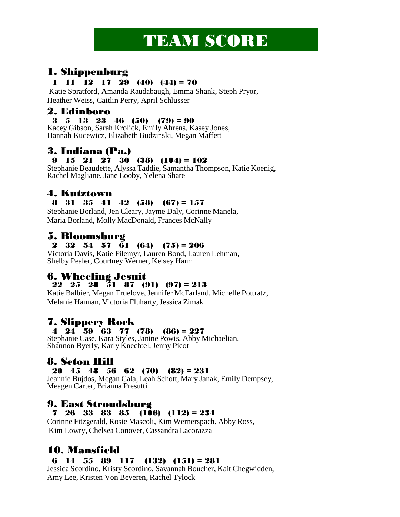# **TEAM SCORE**

## 1. Shippenburg

#### 1 11 12 17 29 (40) (44) = 70

Katie Spratford, Amanda Raudabaugh, Emma Shank, Steph Pryor, Heather Weiss, Caitlin Perry, April Schlusser

## 2. Edinboro

#### 3 5 13 23 46 (50) (79) = 90

Kacey Gibson, Sarah Krolick, Emily Ahrens, Kasey Jones, Hannah Kucewicz, Elizabeth Budzinski, Megan Maffett

# 3. Indiana (Pa.)

#### 9 15 21 27 30 (38)  $(104) = 102$

Stephanie Beaudette, Alyssa Taddie, Samantha Thompson, Katie Koenig, Rachel Magliane, Jane Looby, Yelena Share

## 4. Kutztown

#### 8 31 35 41 42 (58) (67) = 157

Stephanie Borland, Jen Cleary, Jayme Daly, Corinne Manela, Maria Borland, Molly MacDonald, Frances McNally

## 5. Bloomsburg

#### 2 32 54 57 61 (64) (75) = 206

Victoria Davis, Katie Filemyr, Lauren Bond, Lauren Lehman, Shelby Pealer, Courtney Werner, Kelsey Harm

## 6. Wheeling Jesuit

#### 22 25 28  $\overline{3}1$  87 (91) (97) = 213

Katie Balbier, Megan Truelove, Jennifer McFarland, Michelle Pottratz, Melanie Hannan, Victoria Fluharty, Jessica Zimak

## 7. Slippery Rock

## 4 24 59 63 77 (78) (86) = 227

Stephanie Case, Kara Styles, Janine Powis, Abby Michaelian, Shannon Byerly, Karly Knechtel, Jenny Picot

## 8. Seton Hill

#### 20 45 48 56 62 (70) (82) = 231

Jeannie Bujdos, Megan Cala, Leah Schott, Mary Janak, Emily Dempsey, Meagen Carter, Brianna Presutti

## 9. East Stroudsburg

#### 7 26 33 83 85 (106) (112) =  $234$

Corinne Fitzgerald, Rosie Mascoli, Kim Wernerspach, Abby Ross, Kim Lowry, Chelsea Conover, Cassandra Lacorazza

# 10. Mansfield

#### 6 14 55 89 117 (132) (151) = 281

Jessica Scordino, Kristy Scordino, Savannah Boucher, Kait Chegwidden, Amy Lee, Kristen Von Beveren, Rachel Tylock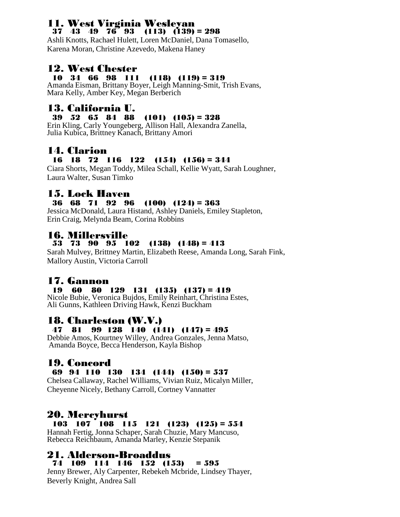#### 11. West Virginia Wesleyan 37 43 49 76 93 (113)  $(139) = 298$

Ashli Knotts, Rachael Hulett, Loren McDaniel, Dana Tomasello, Karena Moran, Christine Azevedo, Makena Haney

# **12. West Chester**<br>**10 34 66 98 111**

#### $(118) (119) = 319$

Amanda Eisman, Brittany Boyer, Leigh Manning-Smit, Trish Evans, Mara Kelly, Amber Key, Megan Berberich

# 13. California U.

## 39 52 65 84 88 (101) (105) = 328

Erin Kling, Carly Youngeberg, Allison Hall, Alexandra Zanella, Julia Kubica, Brittney Kanach, Brittany Amori

## 14. Clarion

#### 16 18 72 116 122 (154) (156) = 344

Ciara Shorts, Megan Toddy, Milea Schall, Kellie Wyatt, Sarah Loughner, Laura Walter, Susan Timko

#### 15. Lock Haven

#### 36 68 71 92 96 (100) (124) = 363

Jessica McDonald, Laura Histand, Ashley Daniels, Emiley Stapleton, Erin Craig, Melynda Beam, Corina Robbins

#### 16. Millersville

#### 53 73 90 95 102 (138) (148) = 413

Sarah Mulvey, Brittney Martin, Elizabeth Reese, Amanda Long, Sarah Fink, Mallory Austin, Victoria Carroll

## 17. Gannon

#### 19 60 80 129 131 (135) (137) = 419

Nicole Bubie, Veronica Bujdos, Emily Reinhart, Christina Estes, Ali Gunns, Kathleen Driving Hawk, Kenzi Buckham

## 18. Charleston (W.V.)

#### 47 81 99 128 140 (141) (147) = 495

Debbie Amos, Kourtney Willey, Andrea Gonzales, Jenna Matso, Amanda Boyce, Becca Henderson, Kayla Bishop

## 19. Concord

#### 69 94 110 130 134 (144) (150) = 537

Chelsea Callaway, Rachel Williams, Vivian Ruiz, Micalyn Miller, Cheyenne Nicely, Bethany Carroll, Cortney Vannatter

## 20. Mercyhurst

#### 103 107 108 115 121 (123) (125) = 554

Hannah Fertig, Jonna Schaper, Sarah Chuzie, Mary Mancuso, Rebecca Reichbaum, Amanda Marley, Kenzie Stepanik

# 21. Alderson-Broaddus

#### 74 109 114 146 152 (153) = 595

Jenny Brewer, Aly Carpenter, Rebekeh Mcbride, Lindsey Thayer, Beverly Knight, Andrea Sall